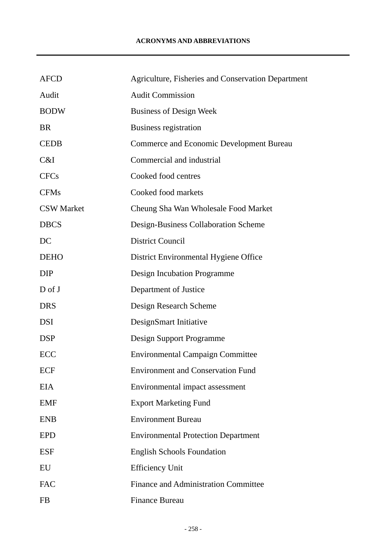| <b>AFCD</b>       | Agriculture, Fisheries and Conservation Department |
|-------------------|----------------------------------------------------|
| Audit             | <b>Audit Commission</b>                            |
| <b>BODW</b>       | <b>Business of Design Week</b>                     |
| <b>BR</b>         | Business registration                              |
| <b>CEDB</b>       | <b>Commerce and Economic Development Bureau</b>    |
| C&I               | Commercial and industrial                          |
| <b>CFCs</b>       | Cooked food centres                                |
| <b>CFMs</b>       | Cooked food markets                                |
| <b>CSW</b> Market | Cheung Sha Wan Wholesale Food Market               |
| <b>DBCS</b>       | Design-Business Collaboration Scheme               |
| DC                | <b>District Council</b>                            |
| <b>DEHO</b>       | District Environmental Hygiene Office              |
| <b>DIP</b>        | Design Incubation Programme                        |
| $D$ of J          | Department of Justice                              |
| <b>DRS</b>        | Design Research Scheme                             |
| <b>DSI</b>        | DesignSmart Initiative                             |
| <b>DSP</b>        | Design Support Programme                           |
| <b>ECC</b>        | <b>Environmental Campaign Committee</b>            |
| <b>ECF</b>        | <b>Environment and Conservation Fund</b>           |
| <b>EIA</b>        | Environmental impact assessment                    |
| <b>EMF</b>        | <b>Export Marketing Fund</b>                       |
| <b>ENB</b>        | <b>Environment Bureau</b>                          |
| <b>EPD</b>        | <b>Environmental Protection Department</b>         |
| <b>ESF</b>        | <b>English Schools Foundation</b>                  |
| EU                | <b>Efficiency Unit</b>                             |
| <b>FAC</b>        | Finance and Administration Committee               |
| FB                | <b>Finance Bureau</b>                              |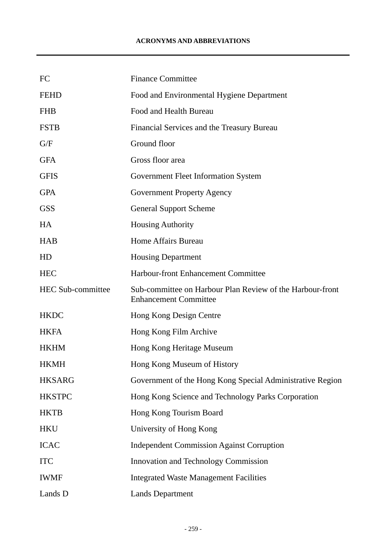## **ACRONYMS AND ABBREVIATIONS**

| FC                       | <b>Finance Committee</b>                                                                  |
|--------------------------|-------------------------------------------------------------------------------------------|
| <b>FEHD</b>              | Food and Environmental Hygiene Department                                                 |
| <b>FHB</b>               | Food and Health Bureau                                                                    |
| <b>FSTB</b>              | Financial Services and the Treasury Bureau                                                |
| G/F                      | Ground floor                                                                              |
| <b>GFA</b>               | Gross floor area                                                                          |
| <b>GFIS</b>              | <b>Government Fleet Information System</b>                                                |
| <b>GPA</b>               | <b>Government Property Agency</b>                                                         |
| <b>GSS</b>               | <b>General Support Scheme</b>                                                             |
| HA                       | <b>Housing Authority</b>                                                                  |
| <b>HAB</b>               | Home Affairs Bureau                                                                       |
| HD                       | <b>Housing Department</b>                                                                 |
| <b>HEC</b>               | Harbour-front Enhancement Committee                                                       |
| <b>HEC Sub-committee</b> | Sub-committee on Harbour Plan Review of the Harbour-front<br><b>Enhancement Committee</b> |
| <b>HKDC</b>              | Hong Kong Design Centre                                                                   |
| <b>HKFA</b>              | Hong Kong Film Archive                                                                    |
| <b>HKHM</b>              | Hong Kong Heritage Museum                                                                 |
| <b>HKMH</b>              | Hong Kong Museum of History                                                               |
| <b>HKSARG</b>            | Government of the Hong Kong Special Administrative Region                                 |
| <b>HKSTPC</b>            | Hong Kong Science and Technology Parks Corporation                                        |
| <b>HKTB</b>              | Hong Kong Tourism Board                                                                   |
| <b>HKU</b>               | University of Hong Kong                                                                   |
| <b>ICAC</b>              | <b>Independent Commission Against Corruption</b>                                          |
| <b>ITC</b>               | Innovation and Technology Commission                                                      |
| <b>IWMF</b>              | <b>Integrated Waste Management Facilities</b>                                             |
| Lands D                  | <b>Lands Department</b>                                                                   |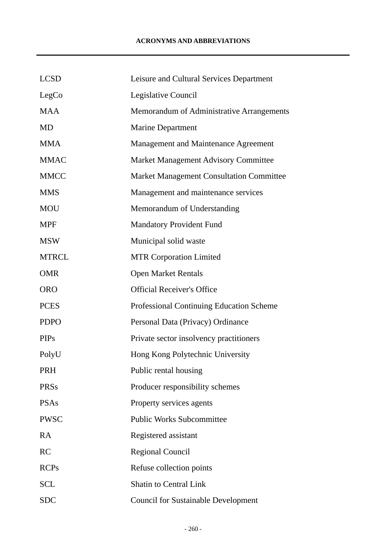| <b>LCSD</b>  | Leisure and Cultural Services Department        |
|--------------|-------------------------------------------------|
| LegCo        | Legislative Council                             |
| <b>MAA</b>   | Memorandum of Administrative Arrangements       |
| <b>MD</b>    | <b>Marine Department</b>                        |
| <b>MMA</b>   | Management and Maintenance Agreement            |
| <b>MMAC</b>  | Market Management Advisory Committee            |
| <b>MMCC</b>  | <b>Market Management Consultation Committee</b> |
| <b>MMS</b>   | Management and maintenance services             |
| <b>MOU</b>   | Memorandum of Understanding                     |
| <b>MPF</b>   | <b>Mandatory Provident Fund</b>                 |
| <b>MSW</b>   | Municipal solid waste                           |
| <b>MTRCL</b> | <b>MTR Corporation Limited</b>                  |
| <b>OMR</b>   | <b>Open Market Rentals</b>                      |
| <b>ORO</b>   | <b>Official Receiver's Office</b>               |
| <b>PCES</b>  | <b>Professional Continuing Education Scheme</b> |
| <b>PDPO</b>  | Personal Data (Privacy) Ordinance               |
| <b>PIPs</b>  | Private sector insolvency practitioners         |
| PolyU        | Hong Kong Polytechnic University                |
| <b>PRH</b>   | Public rental housing                           |
| <b>PRSs</b>  | Producer responsibility schemes                 |
| <b>PSAs</b>  | Property services agents                        |
| <b>PWSC</b>  | <b>Public Works Subcommittee</b>                |
| RA           | Registered assistant                            |
| RC           | <b>Regional Council</b>                         |
| <b>RCPs</b>  | Refuse collection points                        |
| <b>SCL</b>   | <b>Shatin to Central Link</b>                   |
| <b>SDC</b>   | <b>Council for Sustainable Development</b>      |